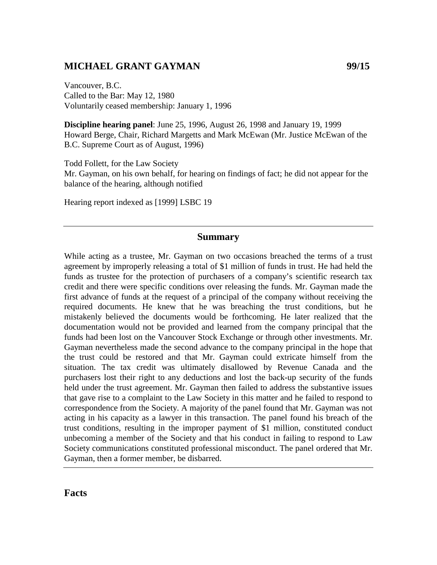# **MICHAEL GRANT GAYMAN 99/15**

Vancouver, B.C. Called to the Bar: May 12, 1980 Voluntarily ceased membership: January 1, 1996

**Discipline hearing panel**: June 25, 1996, August 26, 1998 and January 19, 1999 Howard Berge, Chair, Richard Margetts and Mark McEwan (Mr. Justice McEwan of the B.C. Supreme Court as of August, 1996)

Todd Follett, for the Law Society Mr. Gayman, on his own behalf, for hearing on findings of fact; he did not appear for the balance of the hearing, although notified

Hearing report indexed as [1999] LSBC 19

#### **Summary**

While acting as a trustee, Mr. Gayman on two occasions breached the terms of a trust agreement by improperly releasing a total of \$1 million of funds in trust. He had held the funds as trustee for the protection of purchasers of a company's scientific research tax credit and there were specific conditions over releasing the funds. Mr. Gayman made the first advance of funds at the request of a principal of the company without receiving the required documents. He knew that he was breaching the trust conditions, but he mistakenly believed the documents would be forthcoming. He later realized that the documentation would not be provided and learned from the company principal that the funds had been lost on the Vancouver Stock Exchange or through other investments. Mr. Gayman nevertheless made the second advance to the company principal in the hope that the trust could be restored and that Mr. Gayman could extricate himself from the situation. The tax credit was ultimately disallowed by Revenue Canada and the purchasers lost their right to any deductions and lost the back-up security of the funds held under the trust agreement. Mr. Gayman then failed to address the substantive issues that gave rise to a complaint to the Law Society in this matter and he failed to respond to correspondence from the Society. A majority of the panel found that Mr. Gayman was not acting in his capacity as a lawyer in this transaction. The panel found his breach of the trust conditions, resulting in the improper payment of \$1 million, constituted conduct unbecoming a member of the Society and that his conduct in failing to respond to Law Society communications constituted professional misconduct. The panel ordered that Mr. Gayman, then a former member, be disbarred.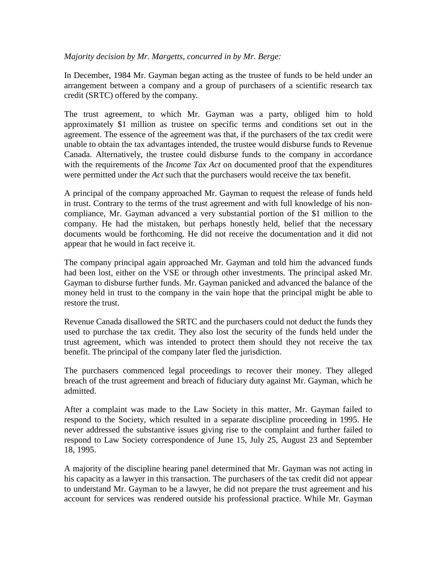### *Majority decision by Mr. Margetts, concurred in by Mr. Berge:*

In December, 1984 Mr. Gayman began acting as the trustee of funds to be held under an arrangement between a company and a group of purchasers of a scientific research tax credit (SRTC) offered by the company.

The trust agreement, to which Mr. Gayman was a party, obliged him to hold approximately \$1 million as trustee on specific terms and conditions set out in the agreement. The essence of the agreement was that, if the purchasers of the tax credit were unable to obtain the tax advantages intended, the trustee would disburse funds to Revenue Canada. Alternatively, the trustee could disburse funds to the company in accordance with the requirements of the *Income Tax Act* on documented proof that the expenditures were permitted under the *Act* such that the purchasers would receive the tax benefit.

A principal of the company approached Mr. Gayman to request the release of funds held in trust. Contrary to the terms of the trust agreement and with full knowledge of his noncompliance, Mr. Gayman advanced a very substantial portion of the \$1 million to the company. He had the mistaken, but perhaps honestly held, belief that the necessary documents would be forthcoming. He did not receive the documentation and it did not appear that he would in fact receive it.

The company principal again approached Mr. Gayman and told him the advanced funds had been lost, either on the VSE or through other investments. The principal asked Mr. Gayman to disburse further funds. Mr. Gayman panicked and advanced the balance of the money held in trust to the company in the vain hope that the principal might be able to restore the trust.

Revenue Canada disallowed the SRTC and the purchasers could not deduct the funds they used to purchase the tax credit. They also lost the security of the funds held under the trust agreement, which was intended to protect them should they not receive the tax benefit. The principal of the company later fled the jurisdiction.

The purchasers commenced legal proceedings to recover their money. They alleged breach of the trust agreement and breach of fiduciary duty against Mr. Gayman, which he admitted.

After a complaint was made to the Law Society in this matter, Mr. Gayman failed to respond to the Society, which resulted in a separate discipline proceeding in 1995. He never addressed the substantive issues giving rise to the complaint and further failed to respond to Law Society correspondence of June 15, July 25, August 23 and September 18, 1995.

A majority of the discipline hearing panel determined that Mr. Gayman was not acting in his capacity as a lawyer in this transaction. The purchasers of the tax credit did not appear to understand Mr. Gayman to be a lawyer, he did not prepare the trust agreement and his account for services was rendered outside his professional practice. While Mr. Gayman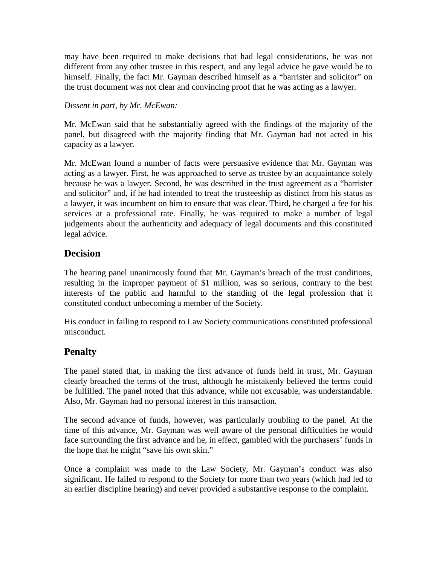may have been required to make decisions that had legal considerations, he was not different from any other trustee in this respect, and any legal advice he gave would be to himself. Finally, the fact Mr. Gayman described himself as a "barrister and solicitor" on the trust document was not clear and convincing proof that he was acting as a lawyer.

## *Dissent in part, by Mr. McEwan:*

Mr. McEwan said that he substantially agreed with the findings of the majority of the panel, but disagreed with the majority finding that Mr. Gayman had not acted in his capacity as a lawyer.

Mr. McEwan found a number of facts were persuasive evidence that Mr. Gayman was acting as a lawyer. First, he was approached to serve as trustee by an acquaintance solely because he was a lawyer. Second, he was described in the trust agreement as a "barrister and solicitor" and, if he had intended to treat the trusteeship as distinct from his status as a lawyer, it was incumbent on him to ensure that was clear. Third, he charged a fee for his services at a professional rate. Finally, he was required to make a number of legal judgements about the authenticity and adequacy of legal documents and this constituted legal advice.

# **Decision**

The hearing panel unanimously found that Mr. Gayman's breach of the trust conditions, resulting in the improper payment of \$1 million, was so serious, contrary to the best interests of the public and harmful to the standing of the legal profession that it constituted conduct unbecoming a member of the Society.

His conduct in failing to respond to Law Society communications constituted professional misconduct.

# **Penalty**

The panel stated that, in making the first advance of funds held in trust, Mr. Gayman clearly breached the terms of the trust, although he mistakenly believed the terms could be fulfilled. The panel noted that this advance, while not excusable, was understandable. Also, Mr. Gayman had no personal interest in this transaction.

The second advance of funds, however, was particularly troubling to the panel. At the time of this advance, Mr. Gayman was well aware of the personal difficulties he would face surrounding the first advance and he, in effect, gambled with the purchasers' funds in the hope that he might "save his own skin."

Once a complaint was made to the Law Society, Mr. Gayman's conduct was also significant. He failed to respond to the Society for more than two years (which had led to an earlier discipline hearing) and never provided a substantive response to the complaint.